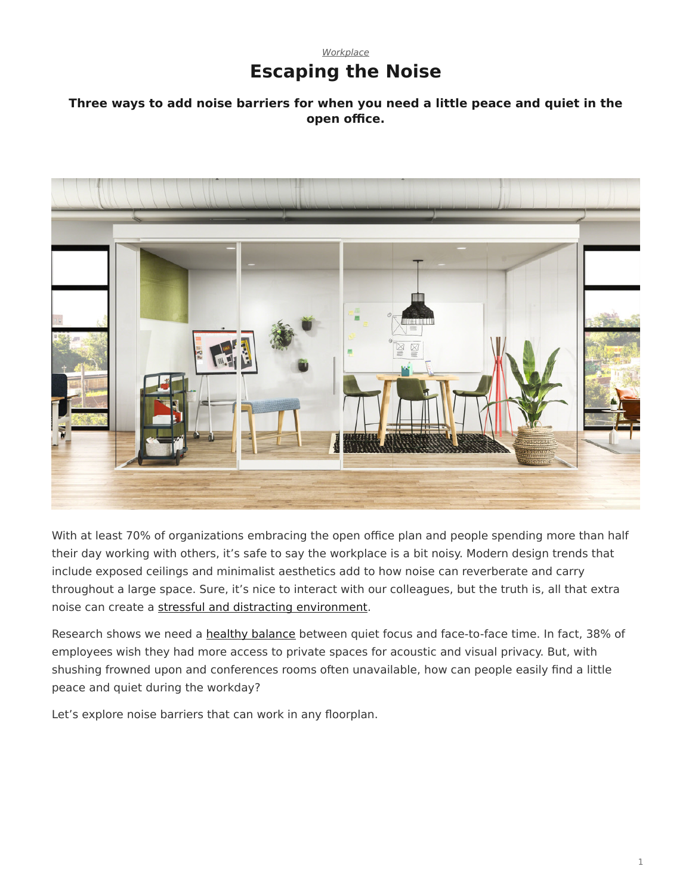### *[Workplace](https://www.steelcase.com/research/topics/workplace/)* **Escaping the Noise**

#### <span id="page-0-0"></span>**Three ways to add noise barriers for when you need a little peace and quiet in the open office.**



With at least 70% of organizations embracing the open office plan and people spending more than half their day working with others, it's safe to say the workplace is a bit noisy. Modern design trends that include exposed ceilings and minimalist aesthetics add to how noise can reverberate and carry throughout a large space. Sure, it's nice to interact with our colleagues, but the truth is, all that extra noise can create a [stressful and distracting environment](https://www.steelcase.com/research/articles/topics/privacy/privacy-crisis/).

Research shows we need a [healthy balance](https://www.steelcase.com/research/articles/topics/privacy/privacy-openness-balance/) between quiet focus and face-to-face time. In fact, 38% of employees wish they had more access to private spaces for acoustic and visual privacy. But, with shushing frowned upon and conferences rooms often unavailable, how can people easily find a little peace and quiet during the workday?

Let's explore noise barriers that can work in any floorplan.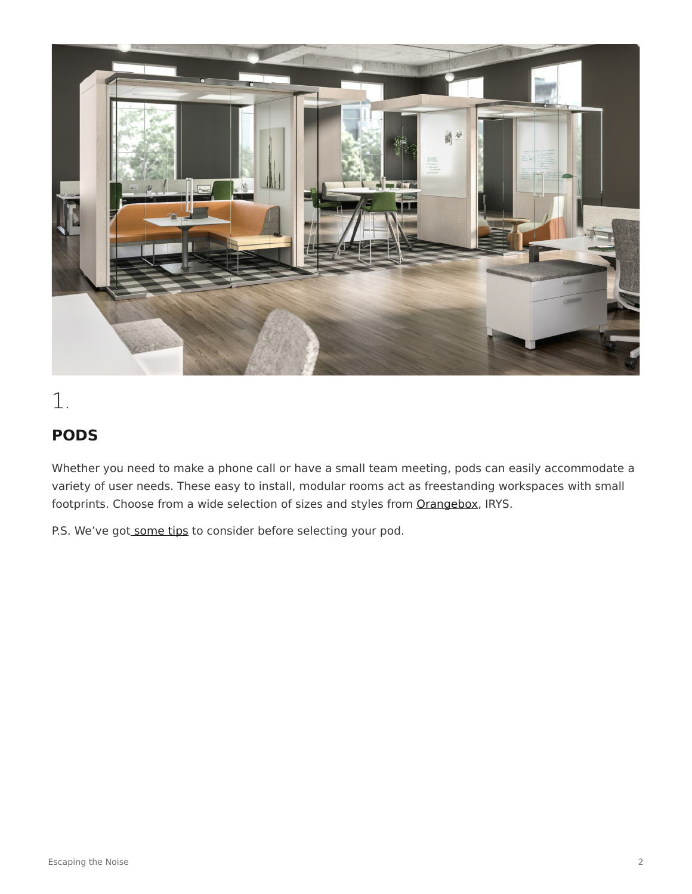

# 1.

### **PODS**

Whether you need to make a phone call or have a small team meeting, pods can easily accommodate a variety of user needs. These easy to install, modular rooms act as freestanding workspaces with small footprints. Choose from a wide selection of sizes and styles from [Orangebox](https://www.orangebox.com/products/Air3), IRYS.

P.S. We've got [some tips](https://www.steelcase.com/research/articles/topics/workplace/designing-with-pods/) to consider before selecting your pod.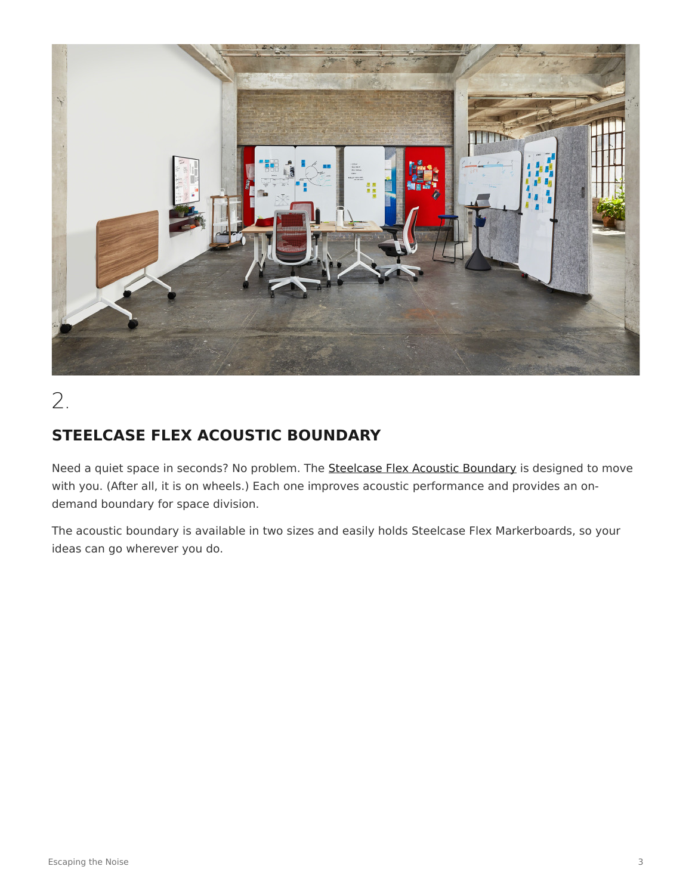

# 2.

### **STEELCASE FLEX ACOUSTIC BOUNDARY**

Need a quiet space in seconds? No problem. The [Steelcase Flex Acoustic Boundary](https://www.steelcase.com/products/screens/steelcase-flex-acoustic-boundary/) is designed to move with you. (After all, it is on wheels.) Each one improves acoustic performance and provides an ondemand boundary for space division.

The acoustic boundary is available in two sizes and easily holds Steelcase Flex Markerboards, so your ideas can go wherever you do.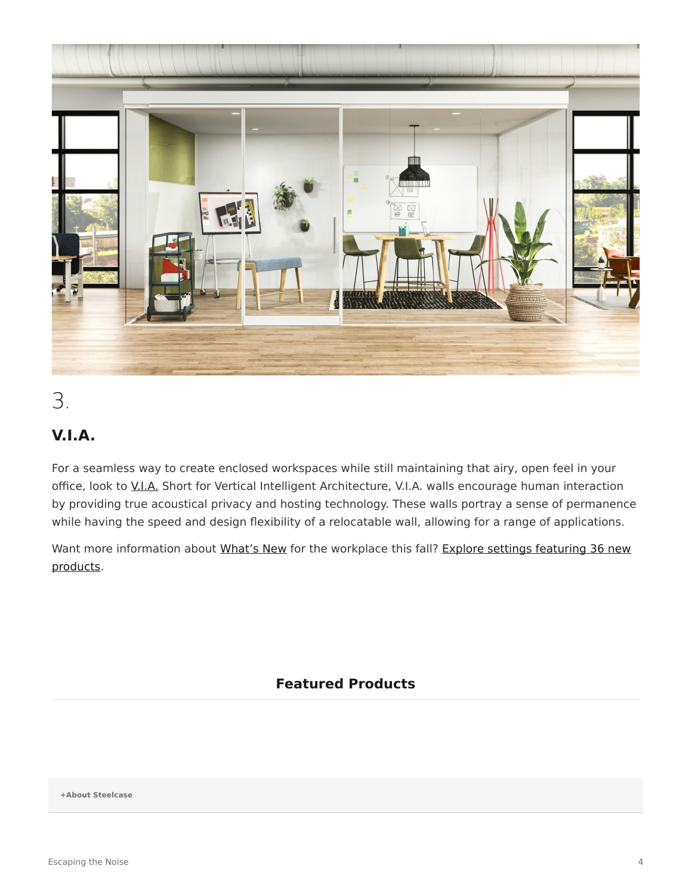

## 3.

### **V.I.A.**

For a seamless way to create enclosed workspaces while still maintaining that airy, open feel in your office, look to [V.I.A.](https://www.steelcase.com/products/walls-work-walls/via/) Short for Vertical Intelligent Architecture, V.I.A. walls encourage human interaction by providing true acoustical privacy and hosting technology. These walls portray a sense of permanence while having the speed and design flexibility of a relocatable wall, allowing for a range of applications.

Want more information about [What's New](https://www.steelcase.com/new/) for the workplace this fall? [Explore settings featuring 36 new](https://www.steelcase.com/new/) [products.](https://www.steelcase.com/new/)

#### **Featured Products**

**[+About Steelcase](https://www.steelcase.com/discover/steelcase/our-company/)**